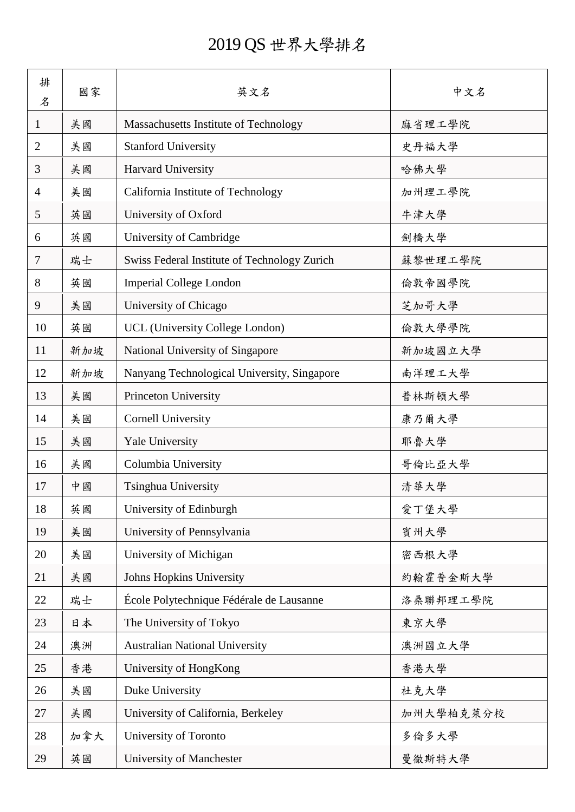## 2019 QS 世界大學排名

| 排<br>名         | 國家  | 英文名                                          | 中文名       |
|----------------|-----|----------------------------------------------|-----------|
| 1              | 美國  | Massachusetts Institute of Technology        | 麻省理工學院    |
| $\overline{2}$ | 美國  | <b>Stanford University</b>                   | 史丹福大學     |
| 3              | 美國  | Harvard University                           | 哈佛大學      |
| 4              | 美國  | California Institute of Technology           | 加州理工學院    |
| 5              | 英國  | University of Oxford                         | 牛津大學      |
| 6              | 英國  | University of Cambridge                      | 劍橋大學      |
| 7              | 瑞士  | Swiss Federal Institute of Technology Zurich | 蘇黎世理工學院   |
| 8              | 英國  | <b>Imperial College London</b>               | 倫敦帝國學院    |
| 9              | 美國  | University of Chicago                        | 芝加哥大學     |
| 10             | 英國  | UCL (University College London)              | 倫敦大學學院    |
| 11             | 新加坡 | National University of Singapore             | 新加坡國立大學   |
| 12             | 新加坡 | Nanyang Technological University, Singapore  | 南洋理工大學    |
| 13             | 美國  | Princeton University                         | 普林斯頓大學    |
| 14             | 美國  | <b>Cornell University</b>                    | 康乃爾大學     |
| 15             | 美國  | Yale University                              | 耶魯大學      |
| 16             | 美國  | Columbia University                          | 哥倫比亞大學    |
| 17             | 中國  | Tsinghua University                          | 清華大學      |
| 18             | 英國  | University of Edinburgh                      | 愛丁堡大學     |
| 19             | 美國  | University of Pennsylvania                   | 賓州大學      |
| 20             | 美國  | University of Michigan                       | 密西根大學     |
| 21             | 美國  | Johns Hopkins University                     | 約翰霍普金斯大學  |
| 22             | 瑞士  | École Polytechnique Fédérale de Lausanne     | 洛桑聯邦理工學院  |
| 23             | 日本  | The University of Tokyo                      | 東京大學      |
| 24             | 澳洲  | <b>Australian National University</b>        | 澳洲國立大學    |
| 25             | 香港  | University of HongKong                       | 香港大學      |
| 26             | 美國  | Duke University                              | 杜克大學      |
| 27             | 美國  | University of California, Berkeley           | 加州大學柏克萊分校 |
| 28             | 加拿大 | University of Toronto                        | 多倫多大學     |
| 29             | 英國  | University of Manchester                     | 曼徹斯特大學    |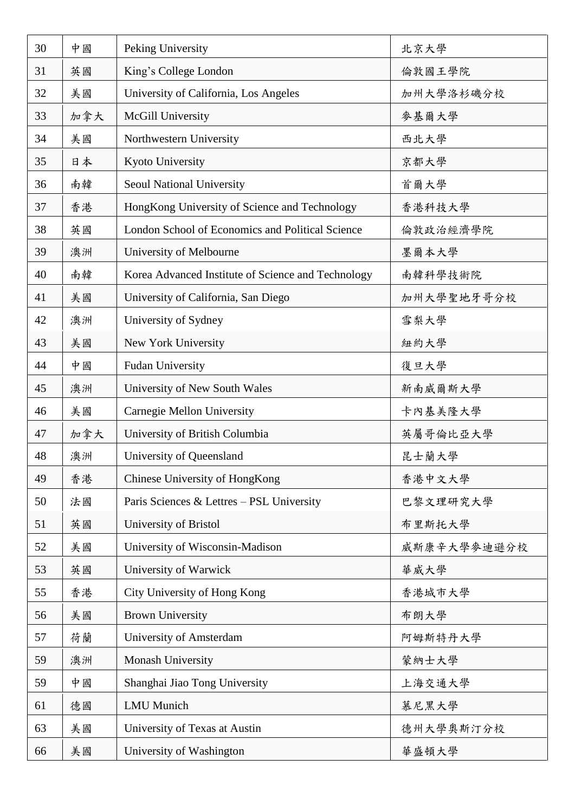| 30 | 中國  | Peking University                                  | 北京大學        |
|----|-----|----------------------------------------------------|-------------|
| 31 | 英國  | King's College London                              | 倫敦國王學院      |
| 32 | 美國  | University of California, Los Angeles              | 加州大學洛杉磯分校   |
| 33 | 加拿大 | McGill University                                  | 麥基爾大學       |
| 34 | 美國  | Northwestern University                            | 西北大學        |
| 35 | 日本  | Kyoto University                                   | 京都大學        |
| 36 | 南韓  | Seoul National University                          | 首爾大學        |
| 37 | 香港  | HongKong University of Science and Technology      | 香港科技大學      |
| 38 | 英國  | London School of Economics and Political Science   | 倫敦政治經濟學院    |
| 39 | 澳洲  | University of Melbourne                            | 墨爾本大學       |
| 40 | 南韓  | Korea Advanced Institute of Science and Technology | 南韓科學技術院     |
| 41 | 美國  | University of California, San Diego                | 加州大學聖地牙哥分校  |
| 42 | 澳洲  | University of Sydney                               | 雪梨大學        |
| 43 | 美國  | New York University                                | 紐約大學        |
| 44 | 中國  | <b>Fudan University</b>                            | 復旦大學        |
| 45 | 澳洲  | University of New South Wales                      | 新南威爾斯大學     |
| 46 | 美國  | Carnegie Mellon University                         | 卡內基美隆大學     |
| 47 | 加拿大 | University of British Columbia                     | 英屬哥倫比亞大學    |
| 48 | 澳洲  | University of Queensland                           | 昆士蘭大學       |
| 49 | 香港  | Chinese University of HongKong                     | 香港中文大學      |
| 50 | 法國  | Paris Sciences & Lettres - PSL University          | 巴黎文理研究大學    |
| 51 | 英國  | University of Bristol                              | 布里斯托大學      |
| 52 | 美國  | University of Wisconsin-Madison                    | 威斯康辛大學參迪遜分校 |
| 53 | 英國  | University of Warwick                              | 華威大學        |
| 55 | 香港  | City University of Hong Kong                       | 香港城市大學      |
| 56 | 美國  | <b>Brown University</b>                            | 布朗大學        |
| 57 | 荷蘭  | University of Amsterdam                            | 阿姆斯特丹大學     |
| 59 | 澳洲  | Monash University                                  | 蒙納士大學       |
| 59 | 中國  | Shanghai Jiao Tong University                      | 上海交通大學      |
| 61 | 德國  | <b>LMU</b> Munich                                  | 慕尼黑大學       |
| 63 | 美國  | University of Texas at Austin                      | 德州大學奧斯汀分校   |
| 66 | 美國  | University of Washington                           | 華盛頓大學       |